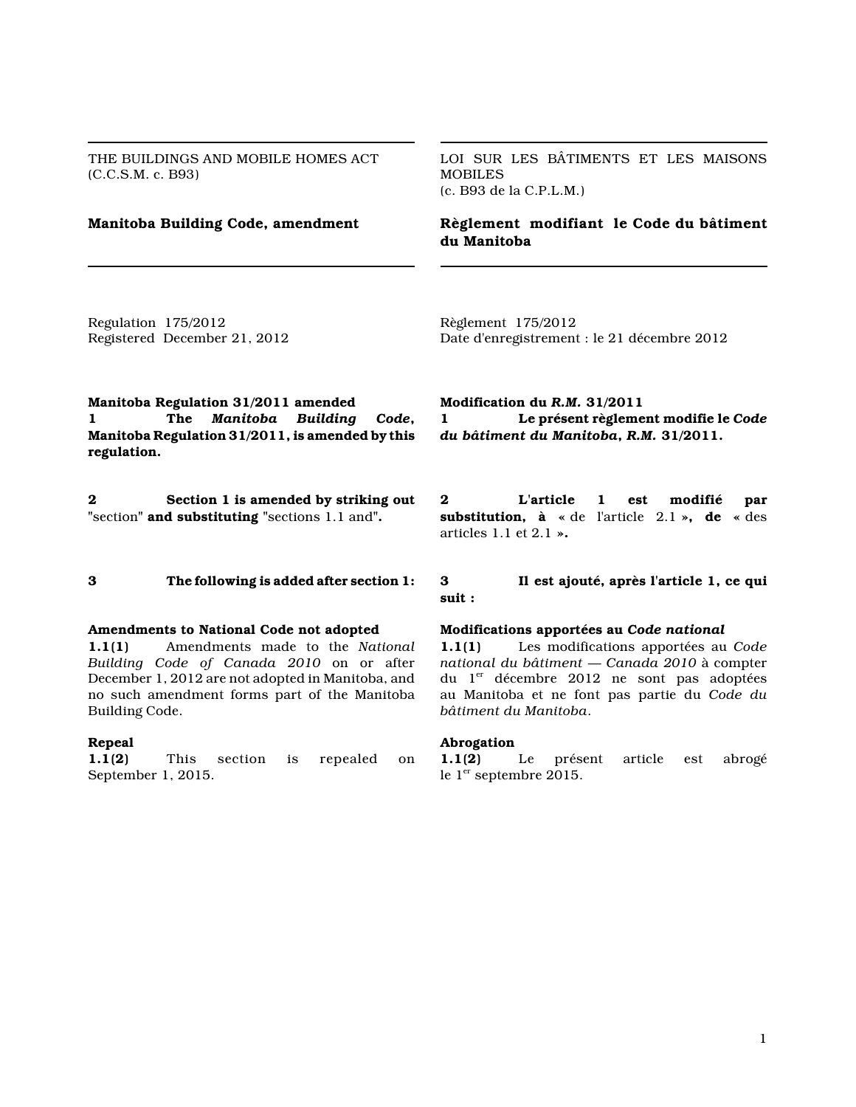THE BUILDINGS AND MOBILE HOMES ACT (C.C.S.M. c. B93)

LOI SUR LES BÂTIMENTS ET LES MAISONS **MOBILES** (c. B93 de la C.P.L.M.)

**Manitoba Building Code, amendment Règlement modifiant le Code du bâtiment du Manitoba**

Regulation 175/2012 Registered December 21, 2012 Règlement 175/2012 Date d'enregistrement : le 21 décembre 2012

**Manitoba Regulation 31/2011 amended 1 The** *Manitoba Building Code***, Manitoba Regulation 31/2011, is amended by this regulation.**

**2 Section 1 is amended by striking out "**section**" and substituting "**sections 1.1 and**".**

## **Amendments to National Code not adopted**

**1.1(1)** Amendments made to the *National Building Code of Canada 2010* on or after December 1, 2012 are not adopted in Manitoba, and no such amendment forms part of the Manitoba Building Code.

#### **Repeal**

**1.1(2)** This section is repealed on September 1, 2015.

**Modification du** *R.M.* **31/2011 1 Le présent règlement modifie le** *Code du bâtiment du Manitoba***,** *R.M.* **31/2011.**

**2 L'article 1 est modifié par substitution, à «** de l'article 2.1 **», de «** des articles 1.1 et 2.1 **».**

# **3 The following is added after section 1: 3 Il est ajouté, après l'article 1, ce qui suit :**

## **Modifications apportées au** *Code national*

**1.1(1)** Les modifications apportées au *Code national du bâtiment — Canada 2010* à compter du 1<sup>er</sup> décembre 2012 ne sont pas adoptées au Manitoba et ne font pas partie du *Code du bâtiment du Manitoba*.

#### **Abrogation**

**1.1(2)** Le présent article est abrogé le 1<sup>er</sup> septembre 2015.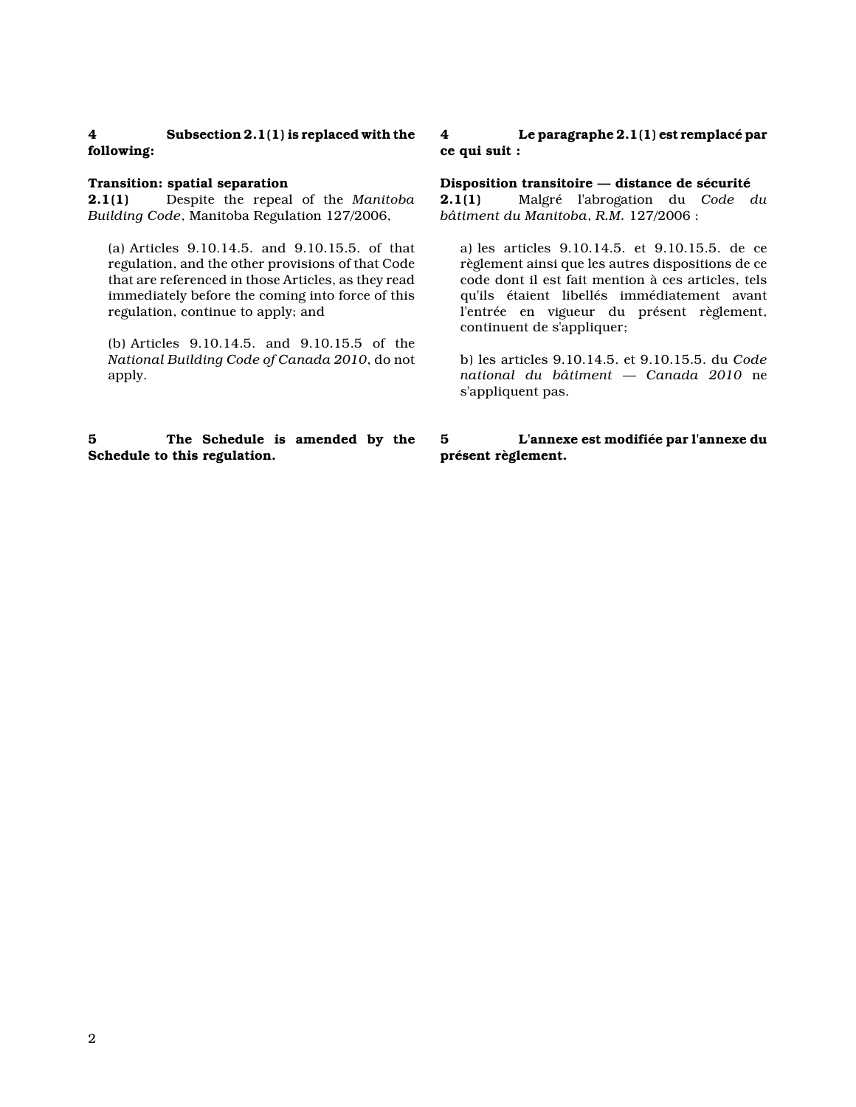# **4 Subsection 2.1(1) is replaced with the following:**

## **Transition: spatial separation**

**2.1(1)** Despite the repeal of the *Manitoba Building Code*, Manitoba Regulation 127/2006,

(a) Articles 9.10.14.5. and 9.10.15.5. of that regulation, and the other provisions of that Code that are referenced in those Articles, as they read immediately before the coming into force of this regulation, continue to apply; and

(b) Articles 9.10.14.5. and 9.10.15.5 of the *National Building Code of Canada 2010*, do not apply.

# **5 The Schedule is amended by the Schedule to this regulation.**

# **4 Le paragraphe 2.1(1) est remplacé par ce qui suit :**

**Disposition transitoire — distance de sécurité**

**2.1(1)** Malgré l'abrogation du *Code du bâtiment du Manitoba*, *R.M.* 127/2006 :

a) les articles 9.10.14.5. et 9.10.15.5. de ce règlement ainsi que les autres dispositions de ce code dont il est fait mention à ces articles, tels qu'ils étaient libellés immédiatement avant l'entrée en vigueur du présent règlement, continuent de s'appliquer;

b) les articles 9.10.14.5. et 9.10.15.5. du *Code national du bâtiment — Canada 2010* ne s'appliquent pas.

# **5 L'annexe est modifiée par l'annexe du présent règlement.**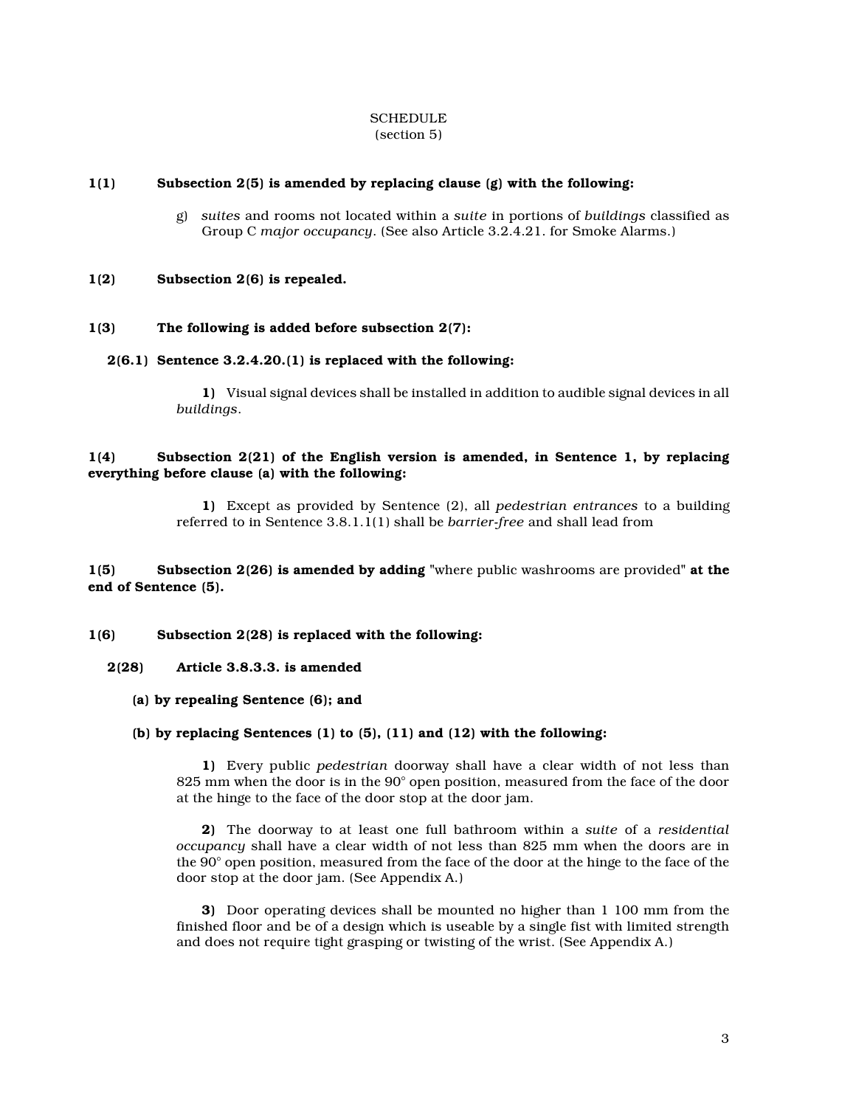#### **SCHEDULE** (section 5)

## **1(1) Subsection 2(5) is amended by replacing clause (g) with the following:**

g) *suites* and rooms not located within a *suite* in portions of *buildings* classified as Group C *major occupancy*. (See also Article 3.2.4.21. for Smoke Alarms.)

## **1(2) Subsection 2(6) is repealed.**

## **1(3) The following is added before subsection 2(7):**

## **2(6.1) Sentence 3.2.4.20.(1) is replaced with the following:**

**1)** Visual signal devices shall be installed in addition to audible signal devices in all *buildings*.

## **1(4) Subsection 2(21) of the English version is amended, in Sentence 1, by replacing everything before clause (a) with the following:**

**1)** Except as provided by Sentence (2), all *pedestrian entrances* to a building referred to in Sentence 3.8.1.1(1) shall be *barrier-free* and shall lead from

**1(5) Subsection 2(26) is amended by adding "**where public washrooms are provided**" at the end of Sentence (5).**

## **1(6) Subsection 2(28) is replaced with the following:**

## **2(28) Article 3.8.3.3. is amended**

## **(a) by repealing Sentence (6); and**

## **(b) by replacing Sentences (1) to (5), (11) and (12) with the following:**

**1)** Every public *pedestrian* doorway shall have a clear width of not less than 825 mm when the door is in the 90° open position, measured from the face of the door at the hinge to the face of the door stop at the door jam.

**2)** The doorway to at least one full bathroom within a *suite* of a *residential occupancy* shall have a clear width of not less than 825 mm when the doors are in the 90° open position, measured from the face of the door at the hinge to the face of the door stop at the door jam. (See Appendix A.)

**3)** Door operating devices shall be mounted no higher than 1 100 mm from the finished floor and be of a design which is useable by a single fist with limited strength and does not require tight grasping or twisting of the wrist. (See Appendix A.)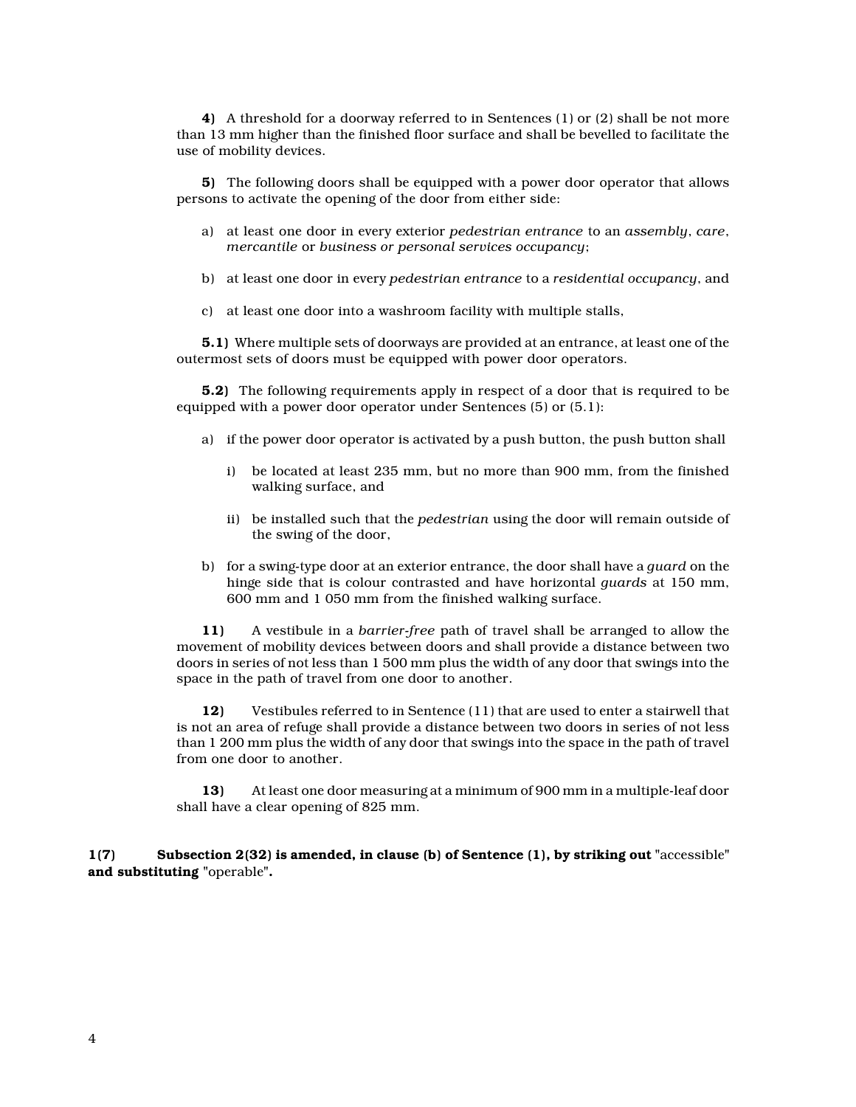**4)** A threshold for a doorway referred to in Sentences (1) or (2) shall be not more than 13 mm higher than the finished floor surface and shall be bevelled to facilitate the use of mobility devices.

**5)** The following doors shall be equipped with a power door operator that allows persons to activate the opening of the door from either side:

- a) at least one door in every exterior *pedestrian entrance* to an *assembly*, *care*, *mercantile* or *business or personal services occupancy*;
- b) at least one door in every *pedestrian entrance* to a *residential occupancy*, and
- c) at least one door into a washroom facility with multiple stalls,

**5.1)** Where multiple sets of doorways are provided at an entrance, at least one of the outermost sets of doors must be equipped with power door operators.

**5.2)** The following requirements apply in respect of a door that is required to be equipped with a power door operator under Sentences (5) or (5.1):

- a) if the power door operator is activated by a push button, the push button shall
	- i) be located at least 235 mm, but no more than 900 mm, from the finished walking surface, and
	- ii) be installed such that the *pedestrian* using the door will remain outside of the swing of the door,
- b) for a swing-type door at an exterior entrance, the door shall have a *guard* on the hinge side that is colour contrasted and have horizontal *guards* at 150 mm, 600 mm and 1 050 mm from the finished walking surface.

**11)** A vestibule in a *barrier-free* path of travel shall be arranged to allow the movement of mobility devices between doors and shall provide a distance between two doors in series of not less than 1 500 mm plus the width of any door that swings into the space in the path of travel from one door to another.

**12)** Vestibules referred to in Sentence (11) that are used to enter a stairwell that is not an area of refuge shall provide a distance between two doors in series of not less than 1 200 mm plus the width of any door that swings into the space in the path of travel from one door to another.

**13)** At least one door measuring at a minimum of 900 mm in a multiple-leaf door shall have a clear opening of 825 mm.

**1(7) Subsection 2(32) is amended, in clause (b) of Sentence (1), by striking out "**accessible**" and substituting "**operable**".**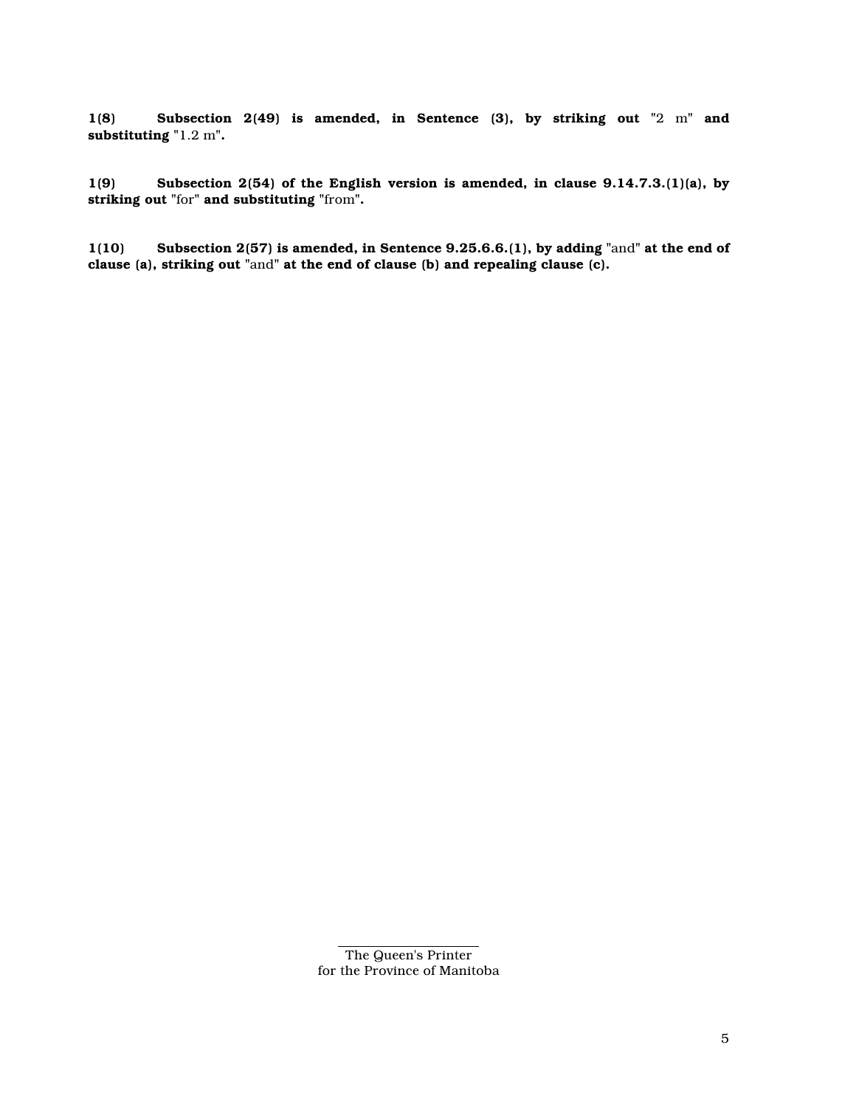**1(8) Subsection 2(49) is amended, in Sentence (3), by striking out "**2 m**" and substituting "**1.2 m**".**

**1(9) Subsection 2(54) of the English version is amended, in clause 9.14.7.3.(1)(a), by striking out "**for**" and substituting "**from**".**

**1(10) Subsection 2(57) is amended, in Sentence 9.25.6.6.(1), by adding "**and**" at the end of clause (a), striking out "**and**" at the end of clause (b) and repealing clause (c).**

The Queen's Printer for the Province of Manitoba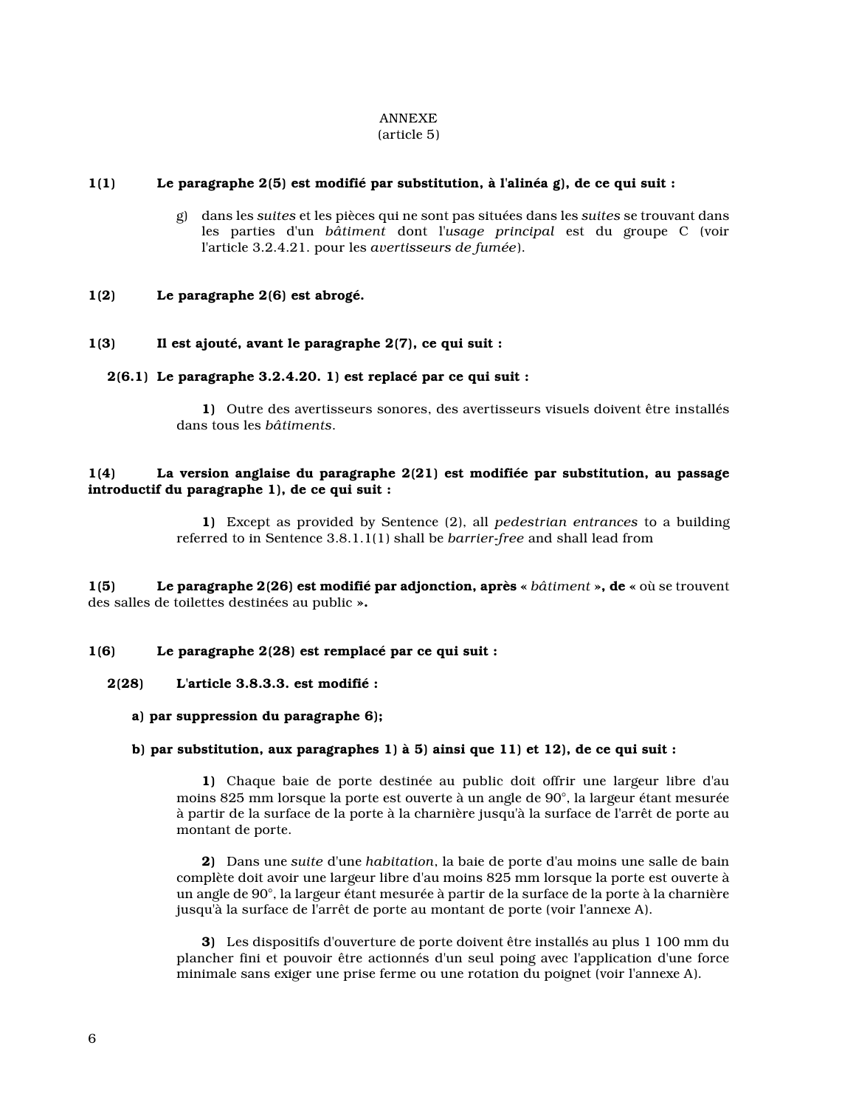#### ANNEXE (article 5)

## **1(1) Le paragraphe 2(5) est modifié par substitution, à l'alinéa g), de ce qui suit :**

g) dans les *suites* et les pièces qui ne sont pas situées dans les *suites* se trouvant dans les parties d'un *bâtiment* dont l'*usage principal* est du groupe C (voir l'article 3.2.4.21. pour les *avertisseurs de fumée*).

## **1(2) Le paragraphe 2(6) est abrogé.**

## **1(3) Il est ajouté, avant le paragraphe 2(7), ce qui suit :**

## **2(6.1) Le paragraphe 3.2.4.20. 1) est replacé par ce qui suit :**

**1)** Outre des avertisseurs sonores, des avertisseurs visuels doivent être installés dans tous les *bâtiments*.

# **1(4) La version anglaise du paragraphe 2(21) est modifiée par substitution, au passage introductif du paragraphe 1), de ce qui suit :**

**1)** Except as provided by Sentence (2), all *pedestrian entrances* to a building referred to in Sentence 3.8.1.1(1) shall be *barrier-free* and shall lead from

**1(5) Le paragraphe 2(26) est modifié par adjonction, après «** *bâtiment* **», de «** où se trouvent des salles de toilettes destinées au public **».**

#### **1(6) Le paragraphe 2(28) est remplacé par ce qui suit :**

## **2(28) L'article 3.8.3.3. est modifié :**

## **a) par suppression du paragraphe 6);**

#### **b) par substitution, aux paragraphes 1) à 5) ainsi que 11) et 12), de ce qui suit :**

**1)** Chaque baie de porte destinée au public doit offrir une largeur libre d'au moins 825 mm lorsque la porte est ouverte à un angle de 90°, la largeur étant mesurée à partir de la surface de la porte à la charnière jusqu'à la surface de l'arrêt de porte au montant de porte.

**2)** Dans une *suite* d'une *habitation*, la baie de porte d'au moins une salle de bain complète doit avoir une largeur libre d'au moins 825 mm lorsque la porte est ouverte à un angle de 90°, la largeur étant mesurée à partir de la surface de la porte à la charnière jusqu'à la surface de l'arrêt de porte au montant de porte (voir l'annexe A).

**3)** Les dispositifs d'ouverture de porte doivent être installés au plus 1 100 mm du plancher fini et pouvoir être actionnés d'un seul poing avec l'application d'une force minimale sans exiger une prise ferme ou une rotation du poignet (voir l'annexe A).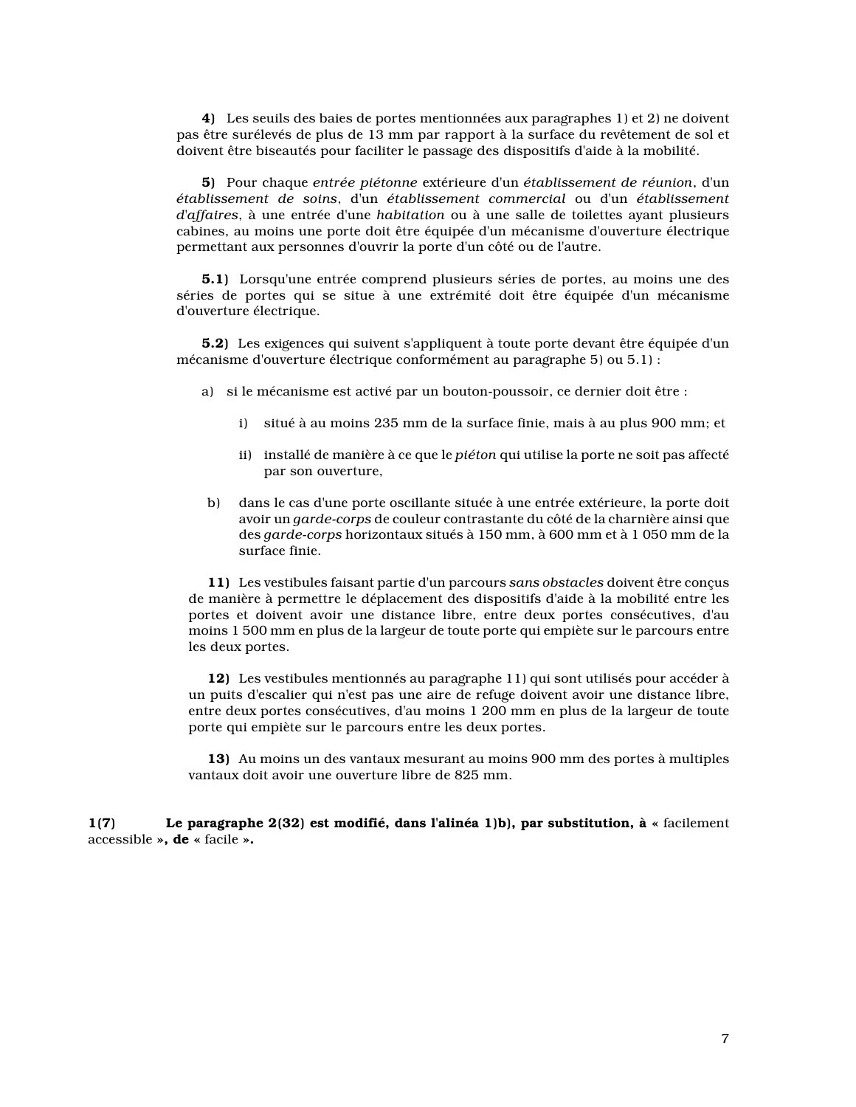**4)** Les seuils des baies de portes mentionnées aux paragraphes 1) et 2) ne doivent pas être surélevés de plus de 13 mm par rapport à la surface du revêtement de sol et doivent être biseautés pour faciliter le passage des dispositifs d'aide à la mobilité.

**5)** Pour chaque *entrée piétonne* extérieure d'un *établissement de réunion*, d'un *établissement de soins*, d'un *établissement commercial* ou d'un *établissement d'affaires*, à une entrée d'une *habitation* ou à une salle de toilettes ayant plusieurs cabines, au moins une porte doit être équipée d'un mécanisme d'ouverture électrique permettant aux personnes d'ouvrir la porte d'un côté ou de l'autre.

**5.1)** Lorsqu'une entrée comprend plusieurs séries de portes, au moins une des séries de portes qui se situe à une extrémité doit être équipée d'un mécanisme d'ouverture électrique.

**5.2)** Les exigences qui suivent s'appliquent à toute porte devant être équipée d'un mécanisme d'ouverture électrique conformément au paragraphe 5) ou 5.1) :

- a) si le mécanisme est activé par un bouton-poussoir, ce dernier doit être :
	- i) situé à au moins 235 mm de la surface finie, mais à au plus 900 mm; et
	- ii) installé de manière à ce que le *piéton* qui utilise la porte ne soit pas affecté par son ouverture,
- b) dans le cas d'une porte oscillante située à une entrée extérieure, la porte doit avoir un *garde-corps* de couleur contrastante du côté de la charnière ainsi que des *garde-corps* horizontaux situés à 150 mm, à 600 mm et à 1 050 mm de la surface finie.

**11)** Les vestibules faisant partie d'un parcours *sans obstacles* doivent être conçus de manière à permettre le déplacement des dispositifs d'aide à la mobilité entre les portes et doivent avoir une distance libre, entre deux portes consécutives, d'au moins 1 500 mm en plus de la largeur de toute porte qui empiète sur le parcours entre les deux portes.

**12)** Les vestibules mentionnés au paragraphe 11) qui sont utilisés pour accéder à un puits d'escalier qui n'est pas une aire de refuge doivent avoir une distance libre, entre deux portes consécutives, d'au moins 1 200 mm en plus de la largeur de toute porte qui empiète sur le parcours entre les deux portes.

**13)** Au moins un des vantaux mesurant au moins 900 mm des portes à multiples vantaux doit avoir une ouverture libre de 825 mm.

**1(7) Le paragraphe 2(32) est modifié, dans l'alinéa 1)b), par substitution, à «** facilement accessible **», de «** facile **».**